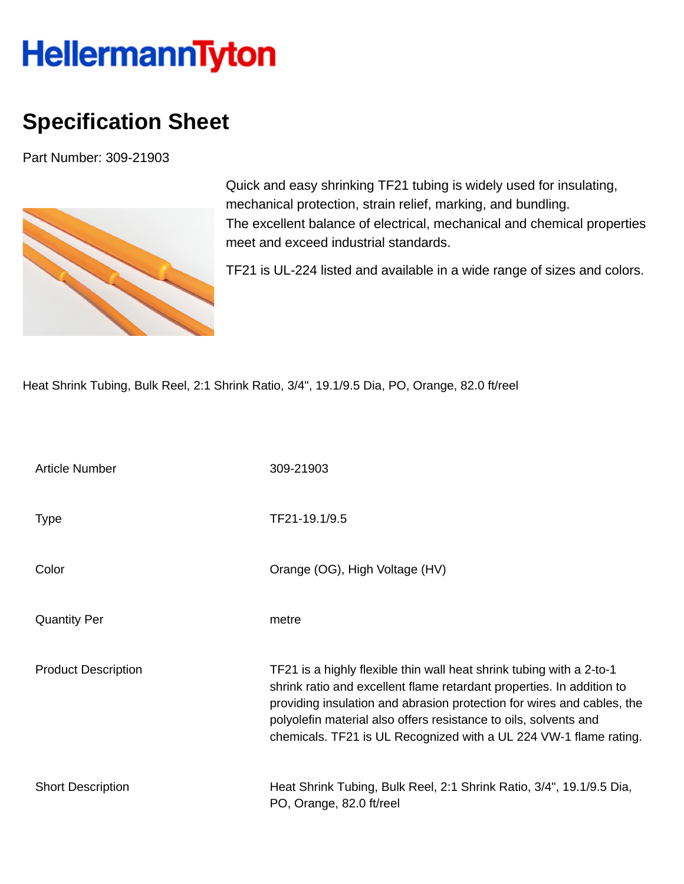## **HellermannTyton**

## **Specification Sheet**

Part Number: 309-21903



Quick and easy shrinking TF21 tubing is widely used for insulating, mechanical protection, strain relief, marking, and bundling. The excellent balance of electrical, mechanical and chemical properties meet and exceed industrial standards.

TF21 is UL-224 listed and available in a wide range of sizes and colors.

Heat Shrink Tubing, Bulk Reel, 2:1 Shrink Ratio, 3/4", 19.1/9.5 Dia, PO, Orange, 82.0 ft/reel

| <b>Article Number</b>      | 309-21903                                                                                                                                                                                                                                                                                                                                                        |
|----------------------------|------------------------------------------------------------------------------------------------------------------------------------------------------------------------------------------------------------------------------------------------------------------------------------------------------------------------------------------------------------------|
| <b>Type</b>                | TF21-19.1/9.5                                                                                                                                                                                                                                                                                                                                                    |
| Color                      | Orange (OG), High Voltage (HV)                                                                                                                                                                                                                                                                                                                                   |
| <b>Quantity Per</b>        | metre                                                                                                                                                                                                                                                                                                                                                            |
| <b>Product Description</b> | TF21 is a highly flexible thin wall heat shrink tubing with a 2-to-1<br>shrink ratio and excellent flame retardant properties. In addition to<br>providing insulation and abrasion protection for wires and cables, the<br>polyolefin material also offers resistance to oils, solvents and<br>chemicals. TF21 is UL Recognized with a UL 224 VW-1 flame rating. |
| <b>Short Description</b>   | Heat Shrink Tubing, Bulk Reel, 2:1 Shrink Ratio, 3/4", 19.1/9.5 Dia,<br>PO, Orange, 82.0 ft/reel                                                                                                                                                                                                                                                                 |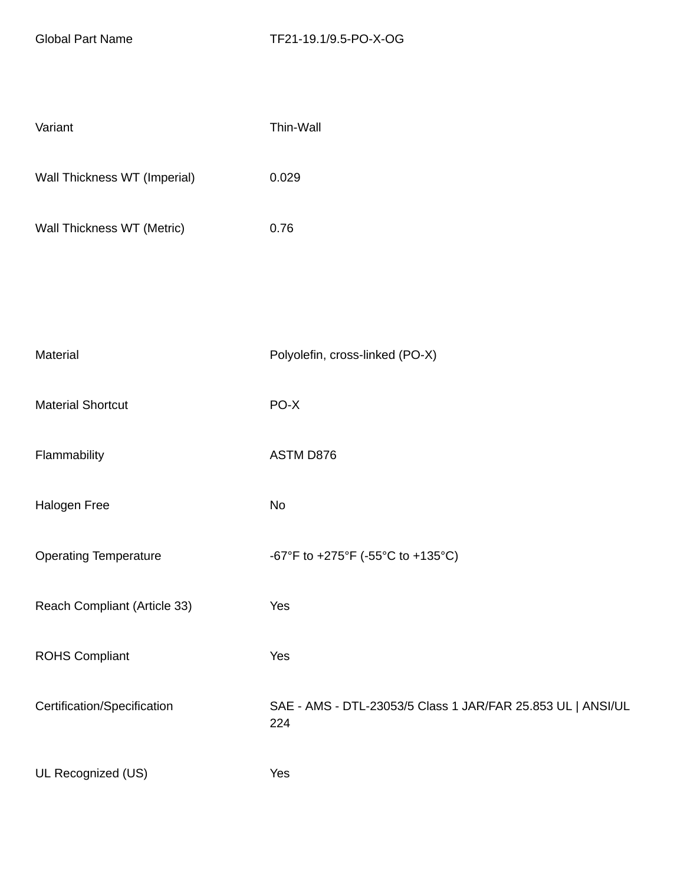| Variant                      | Thin-Wall                                                          |
|------------------------------|--------------------------------------------------------------------|
| Wall Thickness WT (Imperial) | 0.029                                                              |
| Wall Thickness WT (Metric)   | 0.76                                                               |
|                              |                                                                    |
|                              |                                                                    |
| Material                     | Polyolefin, cross-linked (PO-X)                                    |
| <b>Material Shortcut</b>     | PO-X                                                               |
| Flammability                 | ASTM D876                                                          |
| Halogen Free                 | No                                                                 |
| <b>Operating Temperature</b> | -67°F to +275°F (-55°C to +135°C)                                  |
| Reach Compliant (Article 33) | Yes                                                                |
| <b>ROHS Compliant</b>        | Yes                                                                |
| Certification/Specification  | SAE - AMS - DTL-23053/5 Class 1 JAR/FAR 25.853 UL   ANSI/UL<br>224 |
| UL Recognized (US)           | Yes                                                                |